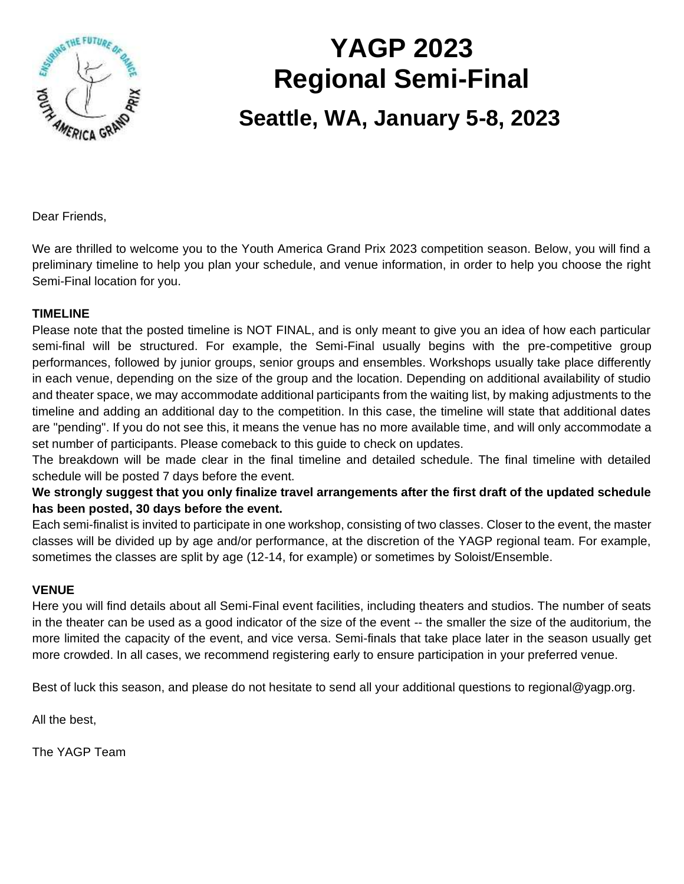

# **YAGP 2023 Regional Semi-Final**

# **Seattle, WA, January 5-8, 2023**

Dear Friends,

We are thrilled to welcome you to the Youth America Grand Prix 2023 competition season. Below, you will find a preliminary timeline to help you plan your schedule, and venue information, in order to help you choose the right Semi-Final location for you.

#### **TIMELINE**

Please note that the posted timeline is NOT FINAL, and is only meant to give you an idea of how each particular semi-final will be structured. For example, the Semi-Final usually begins with the pre-competitive group performances, followed by junior groups, senior groups and ensembles. Workshops usually take place differently in each venue, depending on the size of the group and the location. Depending on additional availability of studio and theater space, we may accommodate additional participants from the waiting list, by making adjustments to the timeline and adding an additional day to the competition. In this case, the timeline will state that additional dates are "pending". If you do not see this, it means the venue has no more available time, and will only accommodate a set number of participants. Please comeback to this guide to check on updates.

The breakdown will be made clear in the final timeline and detailed schedule. The final timeline with detailed schedule will be posted 7 days before the event.

**We strongly suggest that you only finalize travel arrangements after the first draft of the updated schedule has been posted, 30 days before the event.** 

Each semi-finalist is invited to participate in one workshop, consisting of two classes. Closer to the event, the master classes will be divided up by age and/or performance, at the discretion of the YAGP regional team. For example, sometimes the classes are split by age (12-14, for example) or sometimes by Soloist/Ensemble.

#### **VENUE**

Here you will find details about all Semi-Final event facilities, including theaters and studios. The number of seats in the theater can be used as a good indicator of the size of the event -- the smaller the size of the auditorium, the more limited the capacity of the event, and vice versa. Semi-finals that take place later in the season usually get more crowded. In all cases, we recommend registering early to ensure participation in your preferred venue.

Best of luck this season, and please do not hesitate to send all your additional questions to regional@yagp.org.

All the best,

The YAGP Team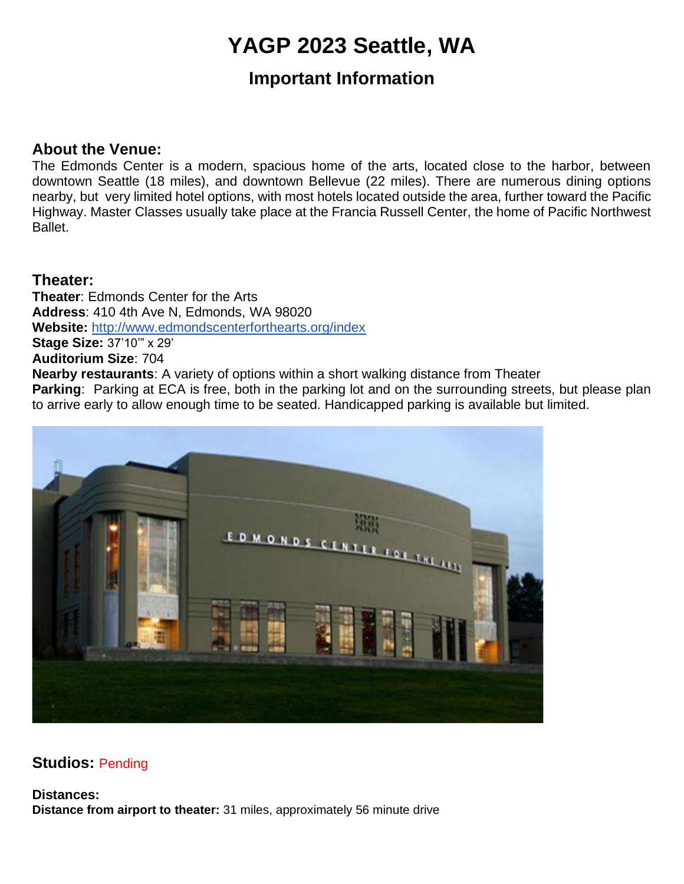# **YAGP 2023 Seattle, WA**

### **Important Information**

#### **About the Venue:**

The Edmonds Center is a modern, spacious home of the arts, located close to the harbor, between downtown Seattle (18 miles), and downtown Bellevue (22 miles). There are numerous dining options nearby, but very limited hotel options, with most hotels located outside the area, further toward the Pacific Highway. Master Classes usually take place at the Francia Russell Center, the home of Pacific Northwest Ballet.

#### **Theater:**

**Theater**: Edmonds Center for the Arts **Address**: 410 4th Ave N, Edmonds, WA 98020 **Website:** <http://www.edmondscenterforthearts.org/index> **Stage Size:** 37'10'" x 29' **Auditorium Size**: 704 **Nearby restaurants**: A variety of options within a short walking distance from Theater **Parking:** Parking at ECA is free, both in the parking lot and on the surrounding streets, but please plan to arrive early to allow enough time to be seated. Handicapped parking is available but limited.



#### **Studios:** Pending

**Distances: Distance from airport to theater:** 31 miles, approximately 56 minute drive